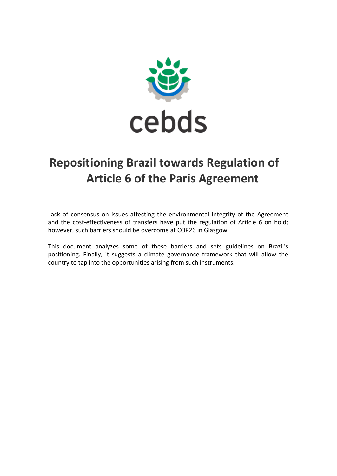

# **Repositioning Brazil towards Regulation of Article 6 of the Paris Agreement**

Lack of consensus on issues affecting the environmental integrity of the Agreement and the cost-effectiveness of transfers have put the regulation of Article 6 on hold; however, such barriers should be overcome at COP26 in Glasgow.

This document analyzes some of these barriers and sets guidelines on Brazil's positioning. Finally, it suggests a climate governance framework that will allow the country to tap into the opportunities arising from such instruments.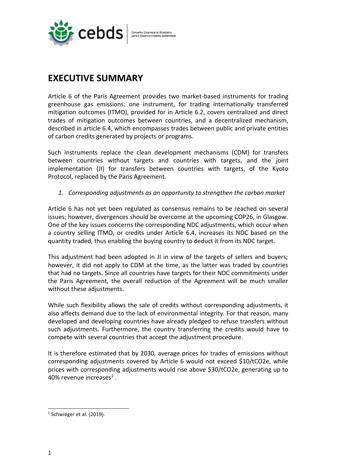

# **EXECUTIVE SUMMARY**

Article 6 of the Paris Agreement provides two market-based instruments for trading greenhouse gas emissions: one instrument, for trading internationally transferred mitigation outcomes (ITMO), provided for in Article 6.2, covers centralized and direct trades of mitigation outcomes between countries, and a decentralized mechanism, described in article 6.4, which encompasses trades between public and private entities of carbon credits generated by projects or programs.

Such instruments replace the clean development mechanisms (CDM) for transfers between countries without targets and countries with targets, and the joint implementation (JI) for transfers between countries with targets, of the Kyoto Protocol, replaced by the Paris Agreement.

*1. Corresponding adjustments as an opportunity to strengthen the carbon market*

Article 6 has not yet been regulated as consensus remains to be reached on several issues; however, divergences should be overcome at the upcoming COP26, in Glasgow. One of the key issues concerns the corresponding NDC adjustments, which occur when a country selling ITMO, or credits under Article 6.4, increases its NDC based on the quantity traded, thus enabling the buying country to deduct it from its NDC target.

This adjustment had been adopted in JI in view of the targets of sellers and buyers; however, it did not apply to CDM at the time, as the latter was traded by countries that had no targets. Since all countries have targets for their NDC commitments under the Paris Agreement, the overall reduction of the Agreement will be much smaller without these adjustments.

While such flexibility allows the sale of credits without corresponding adjustments, it also affects demand due to the lack of environmental integrity. For that reason, many developed and developing countries have already pledged to refuse transfers without such adjustments. Furthermore, the country transferring the credits would have to compete with several countries that accept the adjustment procedure.

It is therefore estimated that by 2030, average prices for trades of emissions without corresponding adjustments covered by Article 6 would not exceed \$10/tCO2e, while prices with corresponding adjustments would rise above \$30/tCO2e, generating up to 40% revenue increases<sup>1</sup>.

 $<sup>1</sup>$  Schwieger et al. (2019).</sup>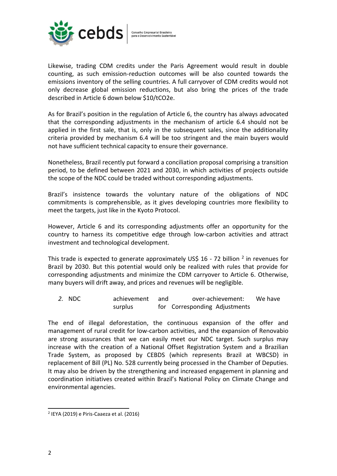

Likewise, trading CDM credits under the Paris Agreement would result in double counting, as such emission-reduction outcomes will be also counted towards the emissions inventory of the selling countries. A full carryover of CDM credits would not only decrease global emission reductions, but also bring the prices of the trade described in Article 6 down below \$10/tCO2e.

As for Brazil's position in the regulation of Article 6, the country has always advocated that the corresponding adjustments in the mechanism of article 6.4 should not be applied in the first sale, that is, only in the subsequent sales, since the additionality criteria provided by mechanism 6.4 will be too stringent and the main buyers would not have sufficient technical capacity to ensure their governance.

Nonetheless, Brazil recently put forward a conciliation proposal comprising a transition period, to be defined between 2021 and 2030, in which activities of projects outside the scope of the NDC could be traded without corresponding adjustments.

Brazil's insistence towards the voluntary nature of the obligations of NDC commitments is comprehensible, as it gives developing countries more flexibility to meet the targets, just like in the Kyoto Protocol.

However, Article 6 and its corresponding adjustments offer an opportunity for the country to harness its competitive edge through low-carbon activities and attract investment and technological development.

This trade is expected to generate approximately US\$ 16 - 72 billion  $^2$  in revenues for Brazil by 2030. But this potential would only be realized with rules that provide for corresponding adjustments and minimize the CDM carryover to Article 6. Otherwise, many buyers will drift away, and prices and revenues will be negligible.

*2.* NDC achievement and over-achievement: We have surplus for Corresponding Adjustments

The end of illegal deforestation, the continuous expansion of the offer and management of rural credit for low-carbon activities, and the expansion of Renovabio are strong assurances that we can easily meet our NDC target. Such surplus may increase with the creation of a National Offset Registration System and a Brazilian Trade System, as proposed by CEBDS (which represents Brazil at WBCSD) in replacement of Bill (PL) No. 528 currently being processed in the Chamber of Deputies. It may also be driven by the strengthening and increased engagement in planning and coordination initiatives created within Brazil's National Policy on Climate Change and environmental agencies.

<sup>2</sup> IEYA (2019) e Piris-Caaeza et al. (2016)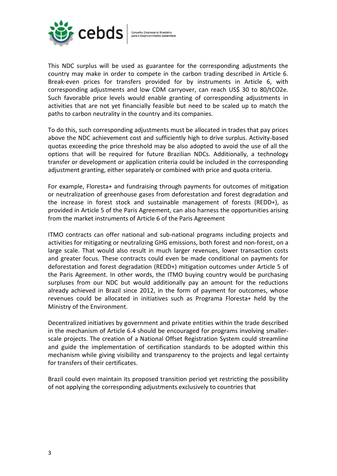

This NDC surplus will be used as guarantee for the corresponding adjustments the country may make in order to compete in the carbon trading described in Article 6. Break-even prices for transfers provided for by instruments in Article 6, with corresponding adjustments and low CDM carryover, can reach US\$ 30 to 80/tCO2e. Such favorable price levels would enable granting of corresponding adjustments in activities that are not yet financially feasible but need to be scaled up to match the paths to carbon neutrality in the country and its companies.

To do this, such corresponding adjustments must be allocated in trades that pay prices above the NDC achievement cost and sufficiently high to drive surplus. Activity-based quotas exceeding the price threshold may be also adopted to avoid the use of all the options that will be required for future Brazilian NDCs. Additionally, a technology transfer or development or application criteria could be included in the corresponding adjustment granting, either separately or combined with price and quota criteria.

For example, Floresta+ and fundraising through payments for outcomes of mitigation or neutralization of greenhouse gases from deforestation and forest degradation and the increase in forest stock and sustainable management of forests (REDD+), as provided in Article 5 of the Paris Agreement, can also harness the opportunities arising from the market instruments of Article 6 of the Paris Agreement

ITMO contracts can offer national and sub-national programs including projects and activities for mitigating or neutralizing GHG emissions, both forest and non-forest, on a large scale. That would also result in much larger revenues, lower transaction costs and greater focus. These contracts could even be made conditional on payments for deforestation and forest degradation (REDD+) mitigation outcomes under Article 5 of the Paris Agreement. In other words, the ITMO buying country would be purchasing surpluses from our NDC but would additionally pay an amount for the reductions already achieved in Brazil since 2012, in the form of payment for outcomes, whose revenues could be allocated in initiatives such as Programa Floresta+ held by the Ministry of the Environment.

Decentralized initiatives by government and private entities within the trade described in the mechanism of Article 6.4 should be encouraged for programs involving smallerscale projects. The creation of a National Offset Registration System could streamline and guide the implementation of certification standards to be adopted within this mechanism while giving visibility and transparency to the projects and legal certainty for transfers of their certificates.

Brazil could even maintain its proposed transition period yet restricting the possibility of not applying the corresponding adjustments exclusively to countries that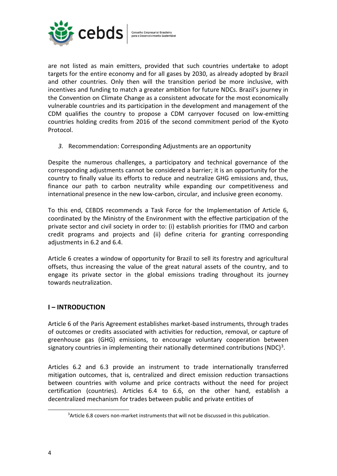

are not listed as main emitters, provided that such countries undertake to adopt targets for the entire economy and for all gases by 2030, as already adopted by Brazil and other countries. Only then will the transition period be more inclusive, with incentives and funding to match a greater ambition for future NDCs. Brazil's journey in the Convention on Climate Change as a consistent advocate for the most economically vulnerable countries and its participation in the development and management of the CDM qualifies the country to propose a CDM carryover focused on low-emitting countries holding credits from 2016 of the second commitment period of the Kyoto Protocol.

*3.* Recommendation: Corresponding Adjustments are an opportunity

Despite the numerous challenges, a participatory and technical governance of the corresponding adjustments cannot be considered a barrier; it is an opportunity for the country to finally value its efforts to reduce and neutralize GHG emissions and, thus, finance our path to carbon neutrality while expanding our competitiveness and international presence in the new low-carbon, circular, and inclusive green economy.

To this end, CEBDS recommends a Task Force for the Implementation of Article 6, coordinated by the Ministry of the Environment with the effective participation of the private sector and civil society in order to: (i) establish priorities for ITMO and carbon credit programs and projects and (ii) define criteria for granting corresponding adjustments in 6.2 and 6.4.

Article 6 creates a window of opportunity for Brazil to sell its forestry and agricultural offsets, thus increasing the value of the great natural assets of the country, and to engage its private sector in the global emissions trading throughout its journey towards neutralization.

#### **I – INTRODUCTION**

Article 6 of the Paris Agreement establishes market-based instruments, through trades of outcomes or credits associated with activities for reduction, removal, or capture of greenhouse gas (GHG) emissions, to encourage voluntary cooperation between signatory countries in implementing their nationally determined contributions (NDC)<sup>3</sup>.

Articles 6.2 and 6.3 provide an instrument to trade internationally transferred mitigation outcomes, that is, centralized and direct emission reduction transactions between countries with volume and price contracts without the need for project certification (countries). Articles 6.4 to 6.6, on the other hand, establish a decentralized mechanism for trades between public and private entities of

<sup>3</sup>Article 6.8 covers non-market instruments that will not be discussed in this publication.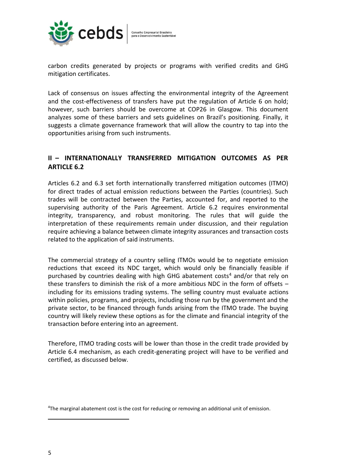

carbon credits generated by projects or programs with verified credits and GHG mitigation certificates.

Lack of consensus on issues affecting the environmental integrity of the Agreement and the cost-effectiveness of transfers have put the regulation of Article 6 on hold; however, such barriers should be overcome at COP26 in Glasgow. This document analyzes some of these barriers and sets guidelines on Brazil's positioning. Finally, it suggests a climate governance framework that will allow the country to tap into the opportunities arising from such instruments.

# **II – INTERNATIONALLY TRANSFERRED MITIGATION OUTCOMES AS PER ARTICLE 6.2**

Articles 6.2 and 6.3 set forth internationally transferred mitigation outcomes (ITMO) for direct trades of actual emission reductions between the Parties (countries). Such trades will be contracted between the Parties, accounted for, and reported to the supervising authority of the Paris Agreement. Article 6.2 requires environmental integrity, transparency, and robust monitoring. The rules that will guide the interpretation of these requirements remain under discussion, and their regulation require achieving a balance between climate integrity assurances and transaction costs related to the application of said instruments.

The commercial strategy of a country selling ITMOs would be to negotiate emission reductions that exceed its NDC target, which would only be financially feasible if purchased by countries dealing with high GHG abatement costs<sup>4</sup> and/or that rely on these transfers to diminish the risk of a more ambitious NDC in the form of offsets – including for its emissions trading systems. The selling country must evaluate actions within policies, programs, and projects, including those run by the government and the private sector, to be financed through funds arising from the ITMO trade. The buying country will likely review these options as for the climate and financial integrity of the transaction before entering into an agreement.

Therefore, ITMO trading costs will be lower than those in the credit trade provided by Article 6.4 mechanism, as each credit-generating project will have to be verified and certified, as discussed below.

<sup>4</sup>The marginal abatement cost is the cost for reducing or removing an additional unit of emission.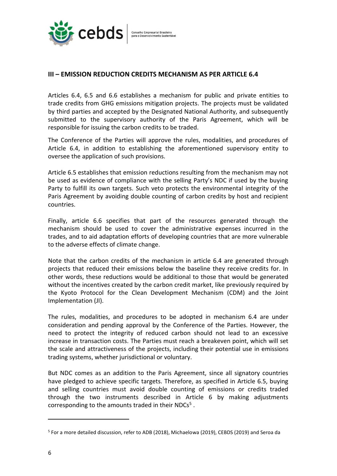

#### **III – EMISSION REDUCTION CREDITS MECHANISM AS PER ARTICLE 6.4**

Articles 6.4, 6.5 and 6.6 establishes a mechanism for public and private entities to trade credits from GHG emissions mitigation projects. The projects must be validated by third parties and accepted by the Designated National Authority, and subsequently submitted to the supervisory authority of the Paris Agreement, which will be responsible for issuing the carbon credits to be traded.

The Conference of the Parties will approve the rules, modalities, and procedures of Article 6.4, in addition to establishing the aforementioned supervisory entity to oversee the application of such provisions.

Article 6.5 establishes that emission reductions resulting from the mechanism may not be used as evidence of compliance with the selling Party's NDC if used by the buying Party to fulfill its own targets. Such veto protects the environmental integrity of the Paris Agreement by avoiding double counting of carbon credits by host and recipient countries.

Finally, article 6.6 specifies that part of the resources generated through the mechanism should be used to cover the administrative expenses incurred in the trades, and to aid adaptation efforts of developing countries that are more vulnerable to the adverse effects of climate change.

Note that the carbon credits of the mechanism in article 6.4 are generated through projects that reduced their emissions below the baseline they receive credits for. In other words, these reductions would be additional to those that would be generated without the incentives created by the carbon credit market, like previously required by the Kyoto Protocol for the Clean Development Mechanism (CDM) and the Joint Implementation (JI).

The rules, modalities, and procedures to be adopted in mechanism 6.4 are under consideration and pending approval by the Conference of the Parties. However, the need to protect the integrity of reduced carbon should not lead to an excessive increase in transaction costs. The Parties must reach a breakeven point, which will set the scale and attractiveness of the projects, including their potential use in emissions trading systems, whether jurisdictional or voluntary.

But NDC comes as an addition to the Paris Agreement, since all signatory countries have pledged to achieve specific targets. Therefore, as specified in Article 6.5, buying and selling countries must avoid double counting of emissions or credits traded through the two instruments described in Article 6 by making adjustments corresponding to the amounts traded in their NDCs<sup>5</sup>.

<sup>&</sup>lt;sup>5</sup> For a more detailed discussion, refer to ADB (2018), Michaelowa (2019), CEBDS (2019) and Seroa da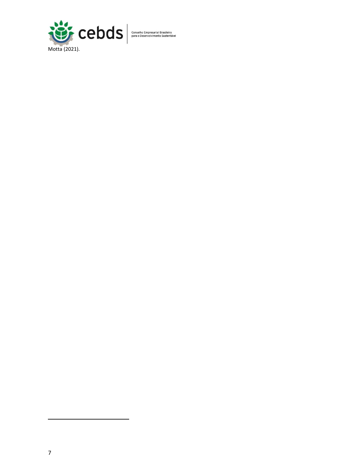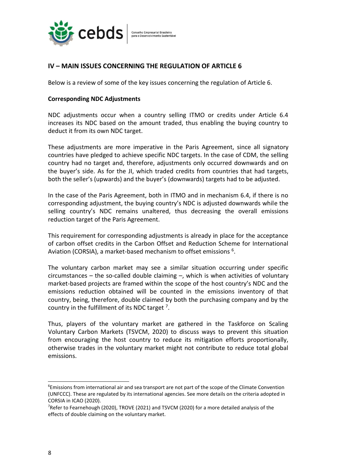

# **IV – MAIN ISSUES CONCERNING THE REGULATION OF ARTICLE 6**

Below is a review of some of the key issues concerning the regulation of Article 6.

#### **Corresponding NDC Adjustments**

NDC adjustments occur when a country selling ITMO or credits under Article 6.4 increases its NDC based on the amount traded, thus enabling the buying country to deduct it from its own NDC target.

These adjustments are more imperative in the Paris Agreement, since all signatory countries have pledged to achieve specific NDC targets. In the case of CDM, the selling country had no target and, therefore, adjustments only occurred downwards and on the buyer's side. As for the JI, which traded credits from countries that had targets, both the seller's (upwards) and the buyer's (downwards) targets had to be adjusted.

In the case of the Paris Agreement, both in ITMO and in mechanism 6.4, if there is no corresponding adjustment, the buying country's NDC is adjusted downwards while the selling country's NDC remains unaltered, thus decreasing the overall emissions reduction target of the Paris Agreement.

This requirement for corresponding adjustments is already in place for the acceptance of carbon offset credits in the Carbon Offset and Reduction Scheme for International Aviation (CORSIA), a market-based mechanism to offset emissions  $6$ .

The voluntary carbon market may see a similar situation occurring under specific  $circumstances - the so-called double claiming -$ , which is when activities of voluntary market-based projects are framed within the scope of the host country's NDC and the emissions reduction obtained will be counted in the emissions inventory of that country, being, therefore, double claimed by both the purchasing company and by the country in the fulfillment of its NDC target  $^7$ .

Thus, players of the voluntary market are gathered in the Taskforce on Scaling Voluntary Carbon Markets (TSVCM, 2020) to discuss ways to prevent this situation from encouraging the host country to reduce its mitigation efforts proportionally, otherwise trades in the voluntary market might not contribute to reduce total global emissions.

 $6$ Emissions from international air and sea transport are not part of the scope of the Climate Convention (UNFCCC). These are regulated by its international agencies. See more details on the criteria adopted in CORSIA in ICAO (2020).

<sup>&</sup>lt;sup>7</sup>Refer to Fearnehough (2020), TROVE (2021) and TSVCM (2020) for a more detailed analysis of the effects of double claiming on the voluntary market.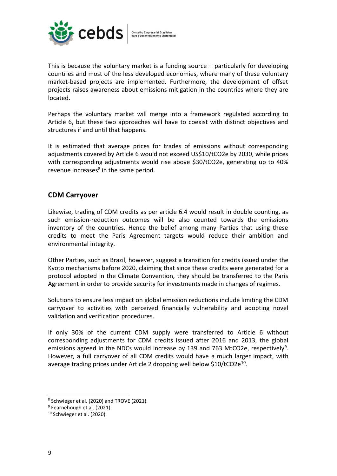

This is because the voluntary market is a funding source – particularly for developing countries and most of the less developed economies, where many of these voluntary market-based projects are implemented. Furthermore, the development of offset projects raises awareness about emissions mitigation in the countries where they are located.

Perhaps the voluntary market will merge into a framework regulated according to Article 6, but these two approaches will have to coexist with distinct objectives and structures if and until that happens.

It is estimated that average prices for trades of emissions without corresponding adjustments covered by Article 6 would not exceed US\$10/tCO2e by 2030, while prices with corresponding adjustments would rise above \$30/tCO2e, generating up to 40% revenue increases<sup>8</sup> in the same period.

# **CDM Carryover**

Likewise, trading of CDM credits as per article 6.4 would result in double counting, as such emission-reduction outcomes will be also counted towards the emissions inventory of the countries. Hence the belief among many Parties that using these credits to meet the Paris Agreement targets would reduce their ambition and environmental integrity.

Other Parties, such as Brazil, however, suggest a transition for credits issued under the Kyoto mechanisms before 2020, claiming that since these credits were generated for a protocol adopted in the Climate Convention, they should be transferred to the Paris Agreement in order to provide security for investments made in changes of regimes.

Solutions to ensure less impact on global emission reductions include limiting the CDM carryover to activities with perceived financially vulnerability and adopting novel validation and verification procedures.

If only 30% of the current CDM supply were transferred to Article 6 without corresponding adjustments for CDM credits issued after 2016 and 2013, the global emissions agreed in the NDCs would increase by 139 and 763 MtCO2e, respectively<sup>9</sup>. However, a full carryover of all CDM credits would have a much larger impact, with average trading prices under Article 2 dropping well below \$10/tCO2e<sup>10</sup>.

<sup>8</sup> Schwieger et al. (2020) and TROVE (2021).

<sup>&</sup>lt;sup>9</sup> Fearnehough et al. (2021).

<sup>10</sup> Schwieger et al. (2020).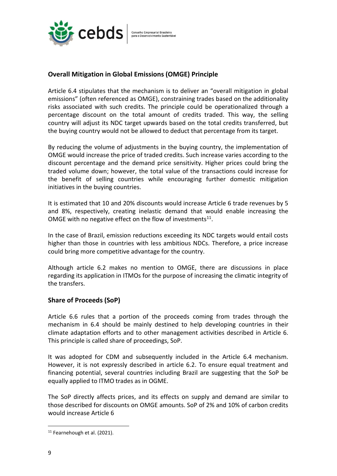

## **Overall Mitigation in Global Emissions (OMGE) Principle**

Article 6.4 stipulates that the mechanism is to deliver an "overall mitigation in global emissions" (often referenced as OMGE), constraining trades based on the additionality risks associated with such credits. The principle could be operationalized through a percentage discount on the total amount of credits traded. This way, the selling country will adjust its NDC target upwards based on the total credits transferred, but the buying country would not be allowed to deduct that percentage from its target.

By reducing the volume of adjustments in the buying country, the implementation of OMGE would increase the price of traded credits. Such increase varies according to the discount percentage and the demand price sensitivity. Higher prices could bring the traded volume down; however, the total value of the transactions could increase for the benefit of selling countries while encouraging further domestic mitigation initiatives in the buying countries.

It is estimated that 10 and 20% discounts would increase Article 6 trade revenues by 5 and 8%, respectively, creating inelastic demand that would enable increasing the OMGE with no negative effect on the flow of investments<sup>11</sup>.

In the case of Brazil, emission reductions exceeding its NDC targets would entail costs higher than those in countries with less ambitious NDCs. Therefore, a price increase could bring more competitive advantage for the country.

Although article 6.2 makes no mention to OMGE, there are discussions in place regarding its application in ITMOs for the purpose of increasing the climatic integrity of the transfers.

#### **Share of Proceeds (SoP)**

Article 6.6 rules that a portion of the proceeds coming from trades through the mechanism in 6.4 should be mainly destined to help developing countries in their climate adaptation efforts and to other management activities described in Article 6. This principle is called share of proceedings, SoP.

It was adopted for CDM and subsequently included in the Article 6.4 mechanism. However, it is not expressly described in article 6.2. To ensure equal treatment and financing potential, several countries including Brazil are suggesting that the SoP be equally applied to ITMO trades as in OGME.

The SoP directly affects prices, and its effects on supply and demand are similar to those described for discounts on OMGE amounts. SoP of 2% and 10% of carbon credits would increase Article 6

<sup>&</sup>lt;sup>11</sup> Fearnehough et al. (2021).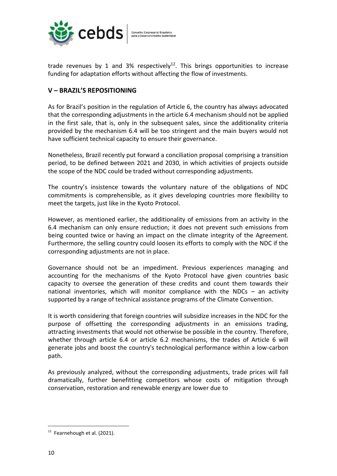

trade revenues by 1 and 3% respectively<sup>12</sup>. This brings opportunities to increase funding for adaptation efforts without affecting the flow of investments.

# **V – BRAZIL'S REPOSITIONING**

As for Brazil's position in the regulation of Article 6, the country has always advocated that the corresponding adjustments in the article 6.4 mechanism should not be applied in the first sale, that is, only in the subsequent sales, since the additionality criteria provided by the mechanism 6.4 will be too stringent and the main buyers would not have sufficient technical capacity to ensure their governance.

Nonetheless, Brazil recently put forward a conciliation proposal comprising a transition period, to be defined between 2021 and 2030, in which activities of projects outside the scope of the NDC could be traded without corresponding adjustments.

The country's insistence towards the voluntary nature of the obligations of NDC commitments is comprehensible, as it gives developing countries more flexibility to meet the targets, just like in the Kyoto Protocol.

However, as mentioned earlier, the additionality of emissions from an activity in the 6.4 mechanism can only ensure reduction; it does not prevent such emissions from being counted twice or having an impact on the climate integrity of the Agreement. Furthermore, the selling country could loosen its efforts to comply with the NDC if the corresponding adjustments are not in place.

Governance should not be an impediment. Previous experiences managing and accounting for the mechanisms of the Kyoto Protocol have given countries basic capacity to oversee the generation of these credits and count them towards their national inventories, which will monitor compliance with the NDCs – an activity supported by a range of technical assistance programs of the Climate Convention.

It is worth considering that foreign countries will subsidize increases in the NDC for the purpose of offsetting the corresponding adjustments in an emissions trading, attracting investments that would not otherwise be possible in the country. Therefore, whether through article 6.4 or article 6.2 mechanisms, the trades of Article 6 will generate jobs and boost the country's technological performance within a low-carbon path.

As previously analyzed, without the corresponding adjustments, trade prices will fall dramatically, further benefitting competitors whose costs of mitigation through conservation, restoration and renewable energy are lower due to

 $12$  Fearnehough et al. (2021).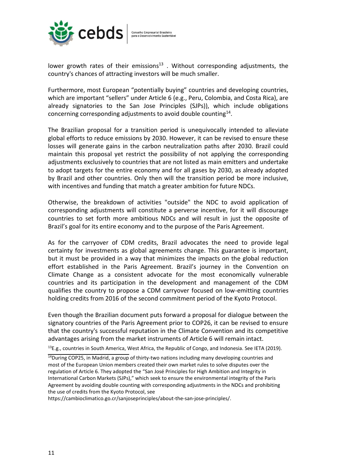

lower growth rates of their emissions<sup>13</sup>. Without corresponding adjustments, the country's chances of attracting investors will be much smaller.

Furthermore, most European "potentially buying" countries and developing countries, which are important "sellers" under Article 6 (e.g., Peru, Colombia, and Costa Rica), are already signatories to the San Jose Principles (SJPs)), which include obligations concerning corresponding adjustments to avoid double counting $^{14}$ .

The Brazilian proposal for a transition period is unequivocally intended to alleviate global efforts to reduce emissions by 2030. However, it can be revised to ensure these losses will generate gains in the carbon neutralization paths after 2030. Brazil could maintain this proposal yet restrict the possibility of not applying the corresponding adjustments exclusively to countries that are not listed as main emitters and undertake to adopt targets for the entire economy and for all gases by 2030, as already adopted by Brazil and other countries. Only then will the transition period be more inclusive, with incentives and funding that match a greater ambition for future NDCs.

Otherwise, the breakdown of activities "outside" the NDC to avoid application of corresponding adjustments will constitute a perverse incentive, for it will discourage countries to set forth more ambitious NDCs and will result in just the opposite of Brazil's goal for its entire economy and to the purpose of the Paris Agreement.

As for the carryover of CDM credits, Brazil advocates the need to provide legal certainty for investments as global agreements change. This guarantee is important, but it must be provided in a way that minimizes the impacts on the global reduction effort established in the Paris Agreement. Brazil's journey in the Convention on Climate Change as a consistent advocate for the most economically vulnerable countries and its participation in the development and management of the CDM qualifies the country to propose a CDM carryover focused on low-emitting countries holding credits from 2016 of the second commitment period of the Kyoto Protocol.

Even though the Brazilian document puts forward a proposal for dialogue between the signatory countries of the Paris Agreement prior to COP26, it can be revised to ensure that the country's successful reputation in the Climate Convention and its competitive advantages arising from the market instruments of Article 6 will remain intact.

 $^{13}$ E.g., countries in South America, West Africa, the Republic of Congo, and Indonesia. See IETA (2019).

https://cambioclimatico.go.cr/sanjoseprinciples/about-the-san-jose-principles/.

 $14$ During COP25, in Madrid, a group of thirty-two nations including many developing countries and most of the European Union members created their own market rules to solve disputes over the regulation of Article 6. They adopted the "San José Principles for High Ambition and Integrity in International Carbon Markets (SJPs)," which seek to ensure the environmental integrity of the Paris Agreement by avoiding double counting with corresponding adjustments in the NDCs and prohibiting the use of credits from the Kyoto Protocol, see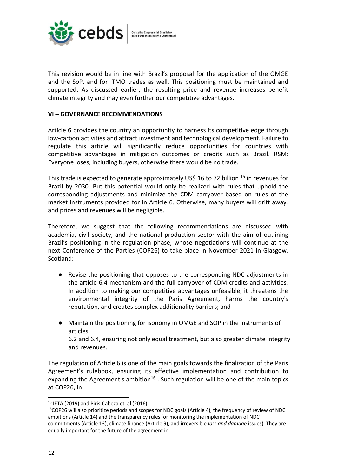

This revision would be in line with Brazil's proposal for the application of the OMGE and the SoP, and for ITMO trades as well. This positioning must be maintained and supported. As discussed earlier, the resulting price and revenue increases benefit climate integrity and may even further our competitive advantages.

#### **VI – GOVERNANCE RECOMMENDATIONS**

Article 6 provides the country an opportunity to harness its competitive edge through low-carbon activities and attract investment and technological development. Failure to regulate this article will significantly reduce opportunities for countries with competitive advantages in mitigation outcomes or credits such as Brazil. RSM: Everyone loses, including buyers, otherwise there would be no trade.

This trade is expected to generate approximately US\$ 16 to 72 billion  $^{15}$  in revenues for Brazil by 2030. But this potential would only be realized with rules that uphold the corresponding adjustments and minimize the CDM carryover based on rules of the market instruments provided for in Article 6. Otherwise, many buyers will drift away, and prices and revenues will be negligible.

Therefore, we suggest that the following recommendations are discussed with academia, civil society, and the national production sector with the aim of outlining Brazil's positioning in the regulation phase, whose negotiations will continue at the next Conference of the Parties (COP26) to take place in November 2021 in Glasgow, Scotland:

- Revise the positioning that opposes to the corresponding NDC adjustments in the article 6.4 mechanism and the full carryover of CDM credits and activities. In addition to making our competitive advantages unfeasible, it threatens the environmental integrity of the Paris Agreement, harms the country's reputation, and creates complex additionality barriers; and
- Maintain the positioning for isonomy in OMGE and SOP in the instruments of articles 6.2 and 6.4, ensuring not only equal treatment, but also greater climate integrity and revenues.

The regulation of Article 6 is one of the main goals towards the finalization of the Paris Agreement's rulebook, ensuring its effective implementation and contribution to expanding the Agreement's ambition<sup>16</sup>. Such regulation will be one of the main topics at COP26, in

 $15$  IETA (2019) and Piris-Cabeza et. al (2016)

<sup>&</sup>lt;sup>16</sup>COP26 will also prioritize periods and scopes for NDC goals (Article 4), the frequency of review of NDC ambitions (Article 14) and the transparency rules for monitoring the implementation of NDC commitments (Article 13), climate finance (Article 9), and irreversible *loss and damage* issues). They are equally important for the future of the agreement in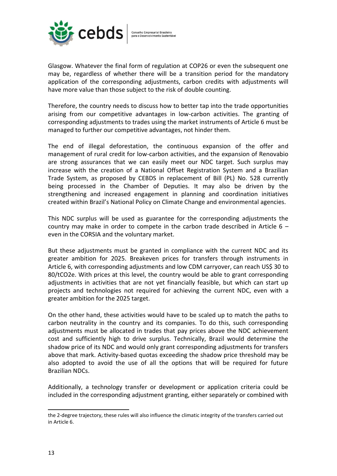

Glasgow. Whatever the final form of regulation at COP26 or even the subsequent one may be, regardless of whether there will be a transition period for the mandatory application of the corresponding adjustments, carbon credits with adjustments will have more value than those subject to the risk of double counting.

Therefore, the country needs to discuss how to better tap into the trade opportunities arising from our competitive advantages in low-carbon activities. The granting of corresponding adjustments to trades using the market instruments of Article 6 must be managed to further our competitive advantages, not hinder them.

The end of illegal deforestation, the continuous expansion of the offer and management of rural credit for low-carbon activities, and the expansion of Renovabio are strong assurances that we can easily meet our NDC target. Such surplus may increase with the creation of a National Offset Registration System and a Brazilian Trade System, as proposed by CEBDS in replacement of Bill (PL) No. 528 currently being processed in the Chamber of Deputies. It may also be driven by the strengthening and increased engagement in planning and coordination initiatives created within Brazil's National Policy on Climate Change and environmental agencies.

This NDC surplus will be used as guarantee for the corresponding adjustments the country may make in order to compete in the carbon trade described in Article  $6$ even in the CORSIA and the voluntary market.

But these adjustments must be granted in compliance with the current NDC and its greater ambition for 2025. Breakeven prices for transfers through instruments in Article 6, with corresponding adjustments and low CDM carryover, can reach US\$ 30 to 80/tCO2e. With prices at this level, the country would be able to grant corresponding adjustments in activities that are not yet financially feasible, but which can start up projects and technologies not required for achieving the current NDC, even with a greater ambition for the 2025 target.

On the other hand, these activities would have to be scaled up to match the paths to carbon neutrality in the country and its companies. To do this, such corresponding adjustments must be allocated in trades that pay prices above the NDC achievement cost and sufficiently high to drive surplus. Technically, Brazil would determine the shadow price of its NDC and would only grant corresponding adjustments for transfers above that mark. Activity-based quotas exceeding the shadow price threshold may be also adopted to avoid the use of all the options that will be required for future Brazilian NDCs.

Additionally, a technology transfer or development or application criteria could be included in the corresponding adjustment granting, either separately or combined with

the 2-degree trajectory, these rules will also influence the climatic integrity of the transfers carried out in Article 6.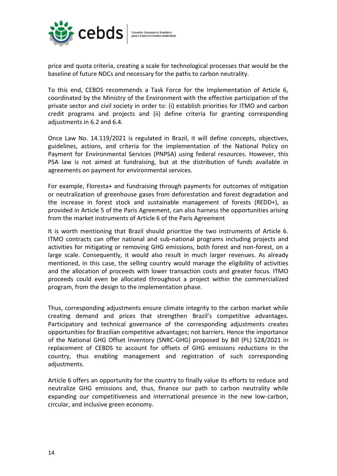

price and quota criteria, creating a scale for technological processes that would be the baseline of future NDCs and necessary for the paths to carbon neutrality.

To this end, CEBDS recommends a Task Force for the Implementation of Article 6, coordinated by the Ministry of the Environment with the effective participation of the private sector and civil society in order to: (i) establish priorities for ITMO and carbon credit programs and projects and (ii) define criteria for granting corresponding adjustments in 6.2 and 6.4.

Once Law No. 14.119/2021 is regulated in Brazil, it will define concepts, objectives, guidelines, actions, and criteria for the implementation of the National Policy on Payment for Environmental Services (PNPSA) using federal resources. However, this PSA law is not aimed at fundraising, but at the distribution of funds available in agreements on payment for environmental services.

For example, Floresta+ and fundraising through payments for outcomes of mitigation or neutralization of greenhouse gases from deforestation and forest degradation and the increase in forest stock and sustainable management of forests (REDD+), as provided in Article 5 of the Paris Agreement, can also harness the opportunities arising from the market instruments of Article 6 of the Paris Agreement

It is worth mentioning that Brazil should prioritize the two instruments of Article 6. ITMO contracts can offer national and sub-national programs including projects and activities for mitigating or removing GHG emissions, both forest and non-forest, on a large scale. Consequently, it would also result in much larger revenues. As already mentioned, in this case, the selling country would manage the eligibility of activities and the allocation of proceeds with lower transaction costs and greater focus. ITMO proceeds could even be allocated throughout a project within the commercialized program, from the design to the implementation phase.

Thus, corresponding adjustments ensure climate integrity to the carbon market while creating demand and prices that strengthen Brazil's competitive advantages. Participatory and technical governance of the corresponding adjustments creates opportunities for Brazilian competitive advantages; not barriers. Hence the importance of the National GHG Offset Inventory (SNRC-GHG) proposed by Bill (PL) 528/2021 in replacement of CEBDS to account for offsets of GHG emissions reductions in the country, thus enabling management and registration of such corresponding adjustments.

Article 6 offers an opportunity for the country to finally value its efforts to reduce and neutralize GHG emissions and, thus, finance our path to carbon neutrality while expanding our competitiveness and international presence in the new low-carbon, circular, and inclusive green economy.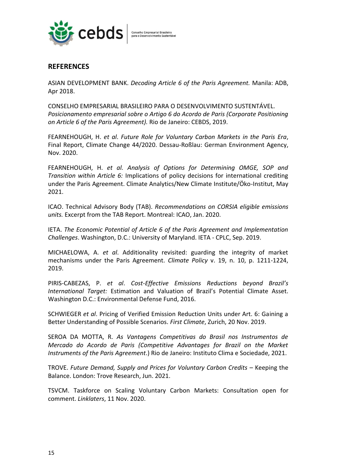

## **REFERENCES**

ASIAN DEVELOPMENT BANK. *Decoding Article 6 of the Paris Agreement.* Manila: ADB, Apr 2018.

CONSELHO EMPRESARIAL BRASILEIRO PARA O DESENVOLVIMENTO SUSTENTÁVEL. *Posicionamento empresarial sobre o Artigo 6 do Acordo de Paris (Corporate Positioning on Article 6 of the Paris Agreement).* Rio de Janeiro: CEBDS, 2019.

FEARNEHOUGH, H. *et al*. *Future Role for Voluntary Carbon Markets in the Paris Era*, Final Report, Climate Change 44/2020. Dessau-Roßlau: German Environment Agency, Nov. 2020.

FEARNEHOUGH, H. *et al. Analysis of Options for Determining OMGE, SOP and Transition within Article 6:* Implications of policy decisions for international crediting under the Paris Agreement. Climate Analytics/New Climate Institute/Öko-Institut, May 2021.

ICAO. Technical Advisory Body (TAB). *Recommendations on CORSIA eligible emissions units.* Excerpt from the TAB Report. Montreal: ICAO, Jan. 2020.

IETA. *The Economic Potential of Article 6 of the Paris Agreement and Implementation Challenges*. Washington, D.C.: University of Maryland. IETA - CPLC, Sep. 2019.

MICHAELOWA, A. *et al*. Additionality revisited: guarding the integrity of market mechanisms under the Paris Agreement. *Climate Policy* v. 19, n. 10, p. 1211-1224, 2019.

PIRIS-CABEZAS, P. *et al*. *Cost-Effective Emissions Reductions beyond Brazil's International Target:* Estimation and Valuation of Brazil's Potential Climate Asset. Washington D.C.: Environmental Defense Fund, 2016.

SCHWIEGER *et al*. Pricing of Verified Emission Reduction Units under Art. 6: Gaining a Better Understanding of Possible Scenarios. *First Climate*, Zurich, 20 Nov. 2019.

SEROA DA MOTTA, R. *As Vantagens Competitivas do Brasil nos Instrumentos de Mercado do Acordo de Paris (Competitive Advantages for Brazil on the Market Instruments of the Paris Agreement*.) Rio de Janeiro: Instituto Clima e Sociedade, 2021.

TROVE. Future Demand, Supply and Prices for Voluntary Carbon Credits - Keeping the Balance. London: Trove Research, Jun. 2021.

TSVCM. Taskforce on Scaling Voluntary Carbon Markets: Consultation open for comment. *Linklaters*, 11 Nov. 2020.